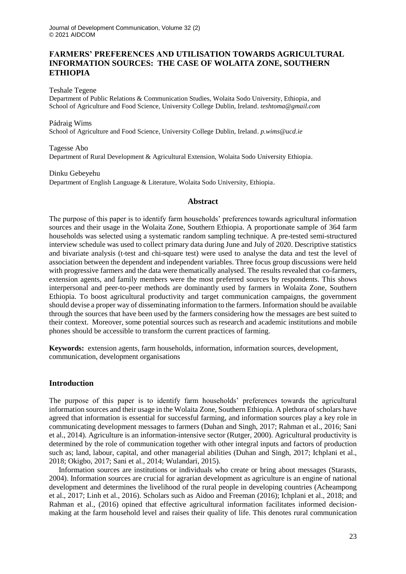# **FARMERS' PREFERENCES AND UTILISATION TOWARDS AGRICULTURAL INFORMATION SOURCES: THE CASE OF WOLAITA ZONE, SOUTHERN ETHIOPIA**

Teshale Tegene

Department of Public Relations & Communication Studies, Wolaita Sodo University, Ethiopia, and School of Agriculture and Food Science, University College Dublin, Ireland. *[teshtoma@gmail.com](mailto:teshtoma@gmail.com)*

#### Pádraig Wims

School of Agriculture and Food Science, University College Dublin, Ireland. *p.wims@ucd.ie*

### Tagesse Abo Department of Rural Development & Agricultural Extension, Wolaita Sodo University Ethiopia.

Dinku Gebeyehu Department of English Language & Literature, Wolaita Sodo University, Ethiopia.

## **Abstract**

The purpose of this paper is to identify farm households' preferences towards agricultural information sources and their usage in the Wolaita Zone, Southern Ethiopia. A proportionate sample of 364 farm households was selected using a systematic random sampling technique. A pre-tested semi-structured interview schedule was used to collect primary data during June and July of 2020. Descriptive statistics and bivariate analysis (t-test and chi-square test) were used to analyse the data and test the level of association between the dependent and independent variables. Three focus group discussions were held with progressive farmers and the data were thematically analysed. The results revealed that co-farmers, extension agents, and family members were the most preferred sources by respondents. This shows interpersonal and peer-to-peer methods are dominantly used by farmers in Wolaita Zone, Southern Ethiopia. To boost agricultural productivity and target communication campaigns, the government should devise a proper way of disseminating information to the farmers. Information should be available through the sources that have been used by the farmers considering how the messages are best suited to their context. Moreover, some potential sources such as research and academic institutions and mobile phones should be accessible to transform the current practices of farming.

**Keywords:** extension agents, farm households, information, information sources, development, communication, development organisations

## **Introduction**

The purpose of this paper is to identify farm households' preferences towards the agricultural information sources and their usage in the Wolaita Zone, Southern Ethiopia. A plethora of scholars have agreed that information is essential for successful farming, and information sources play a key role in communicating development messages to farmers (Duhan and Singh, 2017; Rahman et al., 2016; Sani et al., 2014). Agriculture is an information-intensive sector (Rutger, 2000). Agricultural productivity is determined by the role of communication together with other integral inputs and factors of production such as; land, labour, capital, and other managerial abilities (Duhan and Singh, 2017; Ichplani et al., 2018; Okigbo, 2017; Sani et al., 2014; Wulandari, 2015).

Information sources are institutions or individuals who create or bring about messages (Starasts, 2004). Information sources are crucial for agrarian development as agriculture is an engine of national development and determines the livelihood of the rural people in developing countries (Acheampong et al., 2017; Linh et al., 2016). Scholars such as Aidoo and Freeman (2016); Ichplani et al., 2018; and Rahman et al., (2016) opined that effective agricultural information facilitates informed decisionmaking at the farm household level and raises their quality of life. This denotes rural communication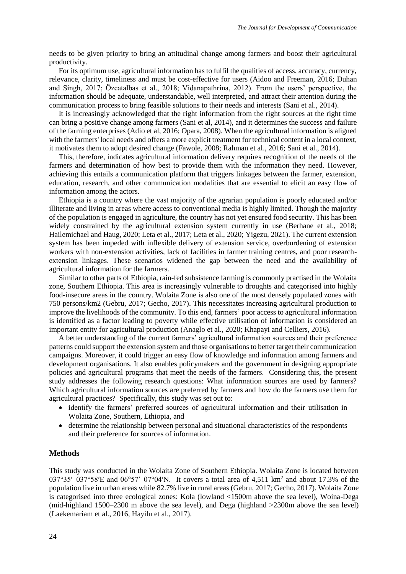needs to be given priority to bring an attitudinal change among farmers and boost their agricultural productivity.

For its optimum use, agricultural information has to fulfil the qualities of access, accuracy, currency, relevance, clarity, timeliness and must be cost-effective for users (Aidoo and Freeman, 2016; Duhan and Singh, 2017; Özcatalbas et al., 2018; Vidanapathrina, 2012). From the users' perspective, the information should be adequate, understandable, well interpreted, and attract their attention during the communication process to bring feasible solutions to their needs and interests (Sani et al., 2014).

It is increasingly acknowledged that the right information from the right sources at the right time can bring a positive change among farmers (Sani et al, 2014), and it determines the success and failure of the farming enterprises (Adio et al, 2016; Opara, 2008). When the agricultural information is aligned with the farmers' local needs and offers a more explicit treatment for technical content in a local context, it motivates them to adopt desired change (Fawole, 2008; Rahman et al., 2016; Sani et al., 2014).

This, therefore, indicates agricultural information delivery requires recognition of the needs of the farmers and determination of how best to provide them with the information they need. However, achieving this entails a communication platform that triggers linkages between the farmer, extension, education, research, and other communication modalities that are essential to elicit an easy flow of information among the actors.

Ethiopia is a country where the vast majority of the agrarian population is poorly educated and/or illiterate and living in areas where access to conventional media is highly limited. Though the majority of the population is engaged in agriculture, the country has not yet ensured food security. This has been widely constrained by the agricultural extension system currently in use (Berhane et al., 2018; Hailemichael and Haug, 2020; Leta et al., 2017; Leta et al., 2020; Yigezu, 2021). The current extension system has been impeded with inflexible delivery of extension service, overburdening of extension workers with non-extension activities, lack of facilities in farmer training centres, and poor researchextension linkages. These scenarios widened the gap between the need and the availability of agricultural information for the farmers.

Similar to other parts of Ethiopia, rain-fed subsistence farming is commonly practised in the Wolaita zone, Southern Ethiopia. This area is increasingly vulnerable to droughts and categorised into highly food-insecure areas in the country. Wolaita Zone is also one of the most densely populated zones with 750 persons/km2 (Gebru, 2017; Gecho, 2017). This necessitates increasing agricultural production to improve the livelihoods of the community. To this end, farmers' poor access to agricultural information is identified as a factor leading to poverty while effective utilisation of information is considered an important entity for agricultural production (Anaglo et al., 2020; Khapayi and Celliers, 2016).

A better understanding of the current farmers' agricultural information sources and their preference patterns could support the extension system and those organisations to better target their communication campaigns. Moreover, it could trigger an easy flow of knowledge and information among farmers and development organisations. It also enables policymakers and the government in designing appropriate policies and agricultural programs that meet the needs of the farmers. Considering this, the present study addresses the following research questions: What information sources are used by farmers? Which agricultural information sources are preferred by farmers and how do the farmers use them for agricultural practices? Specifically, this study was set out to:

- identify the farmers' preferred sources of agricultural information and their utilisation in Wolaita Zone, Southern, Ethiopia, and
- determine the relationship between personal and situational characteristics of the respondents and their preference for sources of information.

### **Methods**

This study was conducted in the Wolaita Zone of Southern Ethiopia. Wolaita Zone is located between 037°35′–037°58′E and 06°57′–07°04′N. It covers a total area of 4,511 km<sup>2</sup> and about 17.3% of the population live in urban areas while 82.7% live in rural areas (Gebru, 2017; Gecho, 2017). Wolaita Zone is categorised into three ecological zones: Kola (lowland <1500m above the sea level), Woina-Dega (mid-highland 1500–2300 m above the sea level), and Dega (highland >2300m above the sea level) (Laekemariam et al., 2016, Hayilu et al., 2017).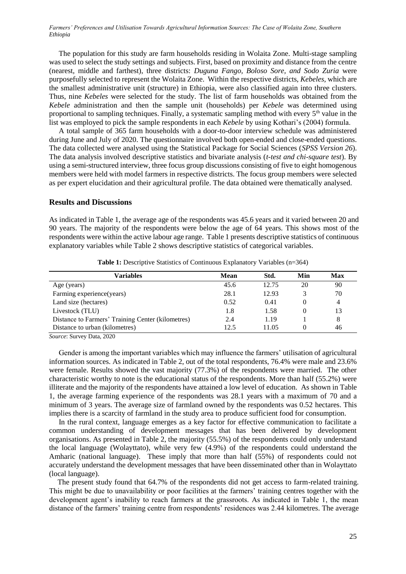*Farmers' Preferences and Utilisation Towards Agricultural Information Sources: The Case of Wolaita Zone, Southern Ethiopia*

The population for this study are farm households residing in Wolaita Zone. Multi-stage sampling was used to select the study settings and subjects. First, based on proximity and distance from the centre (nearest, middle and farthest), three districts: *Duguna Fango, Boloso Sore, and Sodo Zuria* were purposefully selected to represent the Wolaita Zone. Within the respective districts, *Kebeles,* which are the smallest administrative unit (structure) in Ethiopia, were also classified again into three clusters. Thus, nine *Kebeles* were selected for the study. The list of farm households was obtained from the *Kebele* administration and then the sample unit (households) per *Kebele* was determined using proportional to sampling techniques. Finally, a systematic sampling method with every  $5<sup>th</sup>$  value in the list was employed to pick the sample respondents in each *Kebele* by using Kothari's (2004) formula.

A total sample of 365 farm households with a door-to-door interview schedule was administered during June and July of 2020. The questionnaire involved both open-ended and close-ended questions. The data collected were analysed using the Statistical Package for Social Sciences (*SPSS Version 26*). The data analysis involved descriptive statistics and bivariate analysis (*t-test and chi-square test*). By using a semi-structured interview, three focus group discussions consisting of five to eight homogenous members were held with model farmers in respective districts. The focus group members were selected as per expert elucidation and their agricultural profile. The data obtained were thematically analysed.

### **Results and Discussions**

As indicated in Table 1, the average age of the respondents was 45.6 years and it varied between 20 and 90 years. The majority of the respondents were below the age of 64 years. This shows most of the respondents were within the active labour age range. Table 1 presents descriptive statistics of continuous explanatory variables while Table 2 shows descriptive statistics of categorical variables.

| Variables                                         | Mean | Std.  | Min | Max |
|---------------------------------------------------|------|-------|-----|-----|
| Age (years)                                       | 45.6 | 12.75 | 20  | 90  |
| Farming experience(years)                         | 28.1 | 12.93 |     | 70  |
| Land size (hectares)                              | 0.52 | 0.41  | 0   | 4   |
| Livestock (TLU)                                   | 1.8  | 1.58  | 0   | 13  |
| Distance to Farmers' Training Center (kilometres) | 2.4  | 1.19  |     | 8   |
| Distance to urban (kilometres)                    | 12.5 | 11.05 |     | 46  |

Table 1: Descriptive Statistics of Continuous Explanatory Variables (n=364)

*Source*: Survey Data, 2020

Gender is among the important variables which may influence the farmers' utilisation of agricultural information sources. As indicated in Table 2, out of the total respondents, 76.4% were male and 23.6% were female. Results showed the vast majority (77.3%) of the respondents were married. The other characteristic worthy to note is the educational status of the respondents. More than half (55.2%) were illiterate and the majority of the respondents have attained a low level of education. As shown in Table 1, the average farming experience of the respondents was 28.1 years with a maximum of 70 and a minimum of 3 years. The average size of farmland owned by the respondents was 0.52 hectares. This implies there is a scarcity of farmland in the study area to produce sufficient food for consumption.

In the rural context, language emerges as a key factor for effective communication to facilitate a common understanding of development messages that has been delivered by development organisations. As presented in Table 2, the majority (55.5%) of the respondents could only understand the local language (Wolayttato), while very few (4.9%) of the respondents could understand the Amharic (national language). These imply that more than half (55%) of respondents could not accurately understand the development messages that have been disseminated other than in Wolayttato (local language).

 The present study found that 64.7% of the respondents did not get access to farm-related training. This might be due to unavailability or poor facilities at the farmers' training centres together with the development agent's inability to reach farmers at the grassroots. As indicated in Table 1, the mean distance of the farmers' training centre from respondents' residences was 2.44 kilometres. The average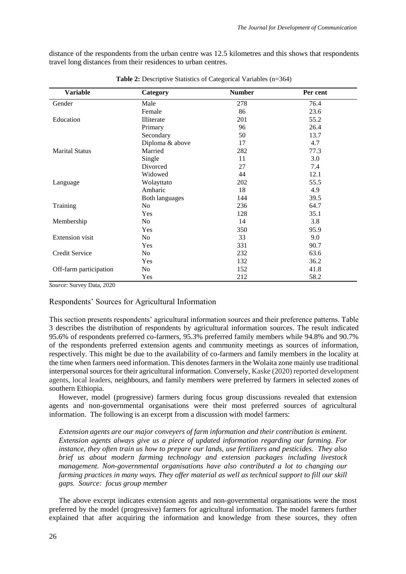distance of the respondents from the urban centre was 12.5 kilometres and this shows that respondents travel long distances from their residences to urban centres.

| <b>Variable</b>        | Category              | <b>Number</b> | Per cent |
|------------------------|-----------------------|---------------|----------|
| Gender                 | Male                  | 278           | 76.4     |
|                        | Female                | 86            | 23.6     |
| Education              | Illiterate            | 201           | 55.2     |
|                        | Primary               | 96            | 26.4     |
|                        | Secondary             | 50            | 13.7     |
|                        | Diploma & above       | 17            | 4.7      |
| <b>Marital Status</b>  | Married               | 282           | 77.3     |
|                        | Single                | 11            | 3.0      |
|                        | Divorced              | 27            | 7.4      |
|                        | Widowed               | 44            | 12.1     |
| Language               | Wolayttato            | 202           | 55.5     |
|                        | Amharic               | 18            | 4.9      |
|                        | <b>Both languages</b> | 144           | 39.5     |
| Training               | No.                   | 236           | 64.7     |
|                        | Yes                   | 128           | 35.1     |
| Membership             | No                    | 14            | 3.8      |
|                        | Yes                   | 350           | 95.9     |
| Extension visit        | No                    | 33            | 9.0      |
|                        | Yes                   | 331           | 90.7     |
| Credit Service         | N <sub>o</sub>        | 232           | 63.6     |
|                        | Yes                   | 132           | 36.2     |
| Off-farm participation | No                    | 152           | 41.8     |
|                        | Yes                   | 212           | 58.2     |

**Table 2:** Descriptive Statistics of Categorical Variables (n=364)

*Source*: Survey Data, 2020

## Respondents' Sources for Agricultural Information

This section presents respondents' agricultural information sources and their preference patterns. Table 3 describes the distribution of respondents by agricultural information sources. The result indicated 95.6% of respondents preferred co-farmers, 95.3% preferred family members while 94.8% and 90.7% of the respondents preferred extension agents and community meetings as sources of information, respectively. This might be due to the availability of co-farmers and family members in the locality at the time when farmers need information. This denotes farmers in the Wolaita zone mainly use traditional interpersonal sources for their agricultural information. Conversely, Kaske (2020) reported development agents, local leaders, neighbours, and family members were preferred by farmers in selected zones of southern Ethiopia.

However, model (progressive) farmers during focus group discussions revealed that extension agents and non-governmental organisations were their most preferred sources of agricultural information. The following is an excerpt from a discussion with model farmers:

*Extension agents are our major conveyers of farm information and their contribution is eminent. Extension agents always give us a piece of updated information regarding our farming. For instance, they often train us how to prepare our lands, use fertilizers and pesticides. They also brief us about modern farming technology and extension packages including livestock management. Non-governmental organisations have also contributed a lot to changing our farming practices in many ways. They offer material as well as technical support to fill our skill gaps. Source: focus group member*

The above excerpt indicates extension agents and non-governmental organisations were the most preferred by the model (progressive) farmers for agricultural information. The model farmers further explained that after acquiring the information and knowledge from these sources, they often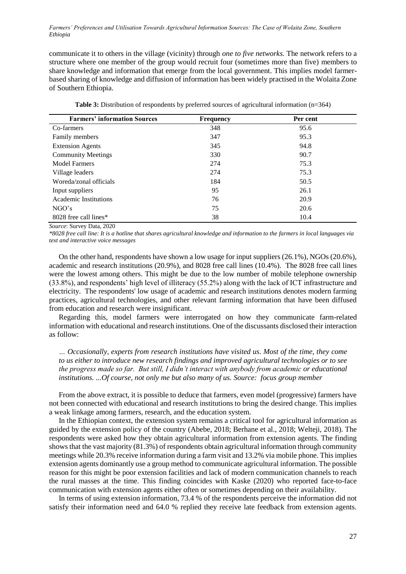*Farmers' Preferences and Utilisation Towards Agricultural Information Sources: The Case of Wolaita Zone, Southern Ethiopia*

communicate it to others in the village (vicinity) through *one to five networks.* The network refers to a structure where one member of the group would recruit four (sometimes more than five) members to share knowledge and information that emerge from the local government. This implies model farmerbased sharing of knowledge and diffusion of information has been widely practised in the Wolaita Zone of Southern Ethiopia.

| <b>Farmers' information Sources</b> | <b>Frequency</b> | Per cent |
|-------------------------------------|------------------|----------|
| Co-farmers                          | 348              | 95.6     |
| Family members                      | 347              | 95.3     |
| <b>Extension Agents</b>             | 345              | 94.8     |
| <b>Community Meetings</b>           | 330              | 90.7     |
| <b>Model Farmers</b>                | 274              | 75.3     |
| Village leaders                     | 274              | 75.3     |
| Woreda/zonal officials              | 184              | 50.5     |
| Input suppliers                     | 95               | 26.1     |
| Academic Institutions               | 76               | 20.9     |
| NGO's                               | 75               | 20.6     |
| 8028 free call lines*               | 38               | 10.4     |

**Table 3:** Distribution of respondents by preferred sources of agricultural information (n=364)

*Source*: Survey Data, 2020

*\*8028 free call line: It is a hotline that shares agricultural knowledge and information to the farmers in local languages via text and interactive voice messages*

On the other hand, respondents have shown a low usage for input suppliers (26.1%), NGOs (20.6%), academic and research institutions (20.9%), and 8028 free call lines (10.4%). The 8028 free call lines were the lowest among others. This might be due to the low number of mobile telephone ownership (33.8%), and respondents' high level of illiteracy (55.2%) along with the lack of ICT infrastructure and electricity. The respondents' low usage of academic and research institutions denotes modern farming practices, agricultural technologies, and other relevant farming information that have been diffused from education and research were insignificant.

Regarding this, model farmers were interrogated on how they communicate farm-related information with educational and research institutions. One of the discussants disclosed their interaction as follow:

*… Occasionally, experts from research institutions have visited us. Most of the time, they come to us either to introduce new research findings and improved agricultural technologies or to see the progress made so far. But still, I didn't interact with anybody from academic or educational institutions. ...Of course, not only me but also many of us. Source: focus group member*

From the above extract, it is possible to deduce that farmers, even model (progressive) farmers have not been connected with educational and research institutions to bring the desired change. This implies a weak linkage among farmers, research, and the education system.

In the Ethiopian context, the extension system remains a critical tool for agricultural information as guided by the extension policy of the country (Abebe, 2018; Berhane et al., 2018; Welteji, 2018). The respondents were asked how they obtain agricultural information from extension agents. The finding shows that the vast majority (81.3%) of respondents obtain agricultural information through community meetings while 20.3% receive information during a farm visit and 13.2% via mobile phone. This implies extension agents dominantly use a group method to communicate agricultural information. The possible reason for this might be poor extension facilities and lack of modern communication channels to reach the rural masses at the time. This finding coincides with Kaske (2020) who reported face-to-face communication with extension agents either often or sometimes depending on their availability.

In terms of using extension information, 73.4 % of the respondents perceive the information did not satisfy their information need and 64.0 % replied they receive late feedback from extension agents.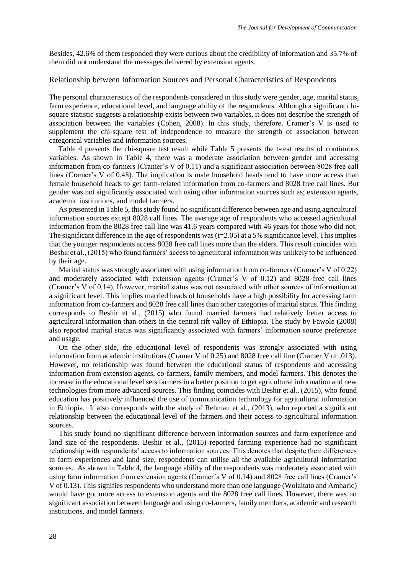Besides, 42.6% of them responded they were curious about the credibility of information and 35.7% of them did not understand the messages delivered by extension agents.

### Relationship between Information Sources and Personal Characteristics of Respondents

The personal characteristics of the respondents considered in this study were gender, age, marital status, farm experience, educational level, and language ability of the respondents. Although a significant chisquare statistic suggests a relationship exists between two variables, it does not describe the strength of association between the variables (Cohen, 2008). In this study, therefore, Cramer's V is used to supplement the chi-square test of independence to measure the strength of association between categorical variables and information sources.

 Table 4 presents the chi-square test result while Table 5 presents the t-test results of continuous variables. As shown in Table 4, there was a moderate association between gender and accessing information from co-farmers (Cramer's V of 0.11) and a significant association between 8028 free call lines (Cramer's V of 0.48). The implication is male household heads tend to have more access than female household heads to get farm-related information from co-farmers and 8028 free call lines. But gender was not significantly associated with using other information sources such as; extension agents, academic institutions, and model farmers.

As presented in Table 5, this study found no significant difference between age and using agricultural information sources except 8028 call lines. The average age of respondents who accessed agricultural information from the 8028 free call line was 41.6 years compared with 46 years for those who did not. The significant difference in the age of respondents was  $(t=2.05)$  at a 5% significance level. This implies that the younger respondents access 8028 free call lines more than the elders. This result coincides with Beshir et al., (2015) who found farmers' access to agricultural information was unlikely to be influenced by their age.

Marital status was strongly associated with using information from co-farmers (Cramer's V of 0.22) and moderately associated with extension agents (Cramer's V of 0.12) and 8028 free call lines (Cramer's V of 0.14). However, marital status was not associated with other sources of information at a significant level. This implies married heads of households have a high possibility for accessing farm information from co-farmers and 8028 free call lines than other categories of marital status. This finding corresponds to Beshir et al., (2015) who found married farmers had relatively better access to agricultural information than others in the central rift valley of Ethiopia. The study by Fawole (2008) also reported marital status was significantly associated with farmers' information source preference and usage.

On the other side, the educational level of respondents was strongly associated with using information from academic institutions (Cramer V of 0.25) and 8028 free call line (Cramer V of .013). However, no relationship was found between the educational status of respondents and accessing information from extension agents, co-farmers, family members, and model farmers. This denotes the increase in the educational level sets farmers in a better position to get agricultural information and new technologies from more advanced sources. This finding coincides with Beshir et al., (2015), who found education has positively influenced the use of communication technology for agricultural information in Ethiopia. It also corresponds with the study of Rehman et al., (2013), who reported a significant relationship between the educational level of the farmers and their access to agricultural information sources.

This study found no significant difference between information sources and farm experience and land size of the respondents. Beshir et al., (2015) reported farming experience had no significant relationship with respondents' access to information sources. This denotes that despite their differences in farm experiences and land size, respondents can utilise all the available agricultural information sources. As shown in Table 4, the language ability of the respondents was moderately associated with using farm information from extension agents (Cramer's V of 0.14) and 8028 free call lines (Cramer's V of 0.13). This signifies respondents who understand more than one language (Wolaitato and Amharic) would have got more access to extension agents and the 8028 free call lines. However, there was no significant association between language and using co-farmers, family members, academic and research institutions, and model farmers.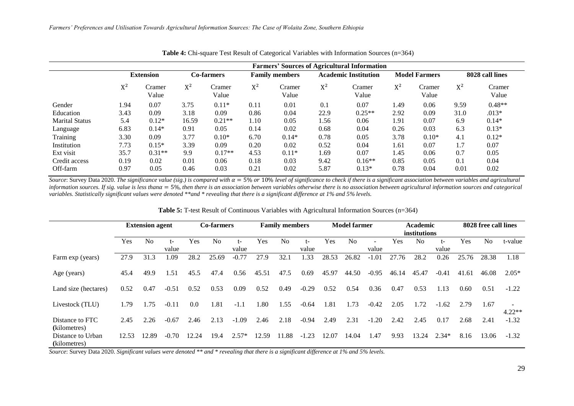|                       | <b>Farmers' Sources of Agricultural Information</b> |                  |       |                 |                       |                 |                             |                 |                      |                 |                 |                 |  |
|-----------------------|-----------------------------------------------------|------------------|-------|-----------------|-----------------------|-----------------|-----------------------------|-----------------|----------------------|-----------------|-----------------|-----------------|--|
|                       |                                                     | <b>Extension</b> |       | Co-farmers      | <b>Family members</b> |                 | <b>Academic Institution</b> |                 | <b>Model Farmers</b> |                 | 8028 call lines |                 |  |
|                       | $X^2$                                               | Cramer<br>Value  | $X^2$ | Cramer<br>Value | $X^2$                 | Cramer<br>Value | $X^2$                       | Cramer<br>Value | $X^2$                | Cramer<br>Value | $X^2$           | Cramer<br>Value |  |
| Gender                | 1.94                                                | 0.07             | 3.75  | $0.11*$         | 0.11                  | 0.01            | 0.1                         | 0.07            | 1.49                 | 0.06            | 9.59            | $0.48**$        |  |
| Education             | 3.43                                                | 0.09             | 3.18  | 0.09            | 0.86                  | 0.04            | 22.9                        | $0.25**$        | 2.92                 | 0.09            | 31.0            | $.013*$         |  |
| <b>Marital Status</b> | 5.4                                                 | $0.12*$          | 16.59 | $0.21**$        | 1.10                  | 0.05            | 1.56                        | 0.06            | 1.91                 | 0.07            | 6.9             | $0.14*$         |  |
| Language              | 6.83                                                | $0.14*$          | 0.91  | 0.05            | 0.14                  | 0.02            | 0.68                        | 0.04            | 0.26                 | 0.03            | 6.3             | $0.13*$         |  |
| Training              | 3.30                                                | 0.09             | 3.77  | $0.10*$         | 6.70                  | $0.14*$         | 0.78                        | 0.05            | 3.78                 | $0.10*$         | 4.1             | $0.12*$         |  |
| Institution           | 7.73                                                | $0.15*$          | 3.39  | 0.09            | 0.20                  | 0.02            | 0.52                        | 0.04            | 1.61                 | 0.07            | 1.7             | 0.07            |  |
| Ext visit             | 35.7                                                | $0.31**$         | 9.9   | $0.17**$        | 4.53                  | $0.11*$         | 1.69                        | 0.07            | 1.45                 | 0.06            | 0.7             | 0.05            |  |
| Credit access         | 0.19                                                | 0.02             | 0.01  | 0.06            | 0.18                  | 0.03            | 9.42                        | $0.16**$        | 0.85                 | 0.05            | 0.1             | 0.04            |  |
| Off-farm              | 0.97                                                | 0.05             | 0.46  | 0.03            | 0.21                  | 0.02            | 5.87                        | $0.13*$         | 0.78                 | 0.04            | 0.01            | 0.02            |  |

**Table 4:** Chi-square Test Result of Categorical Variables with Information Sources (n=364)

*Source*: Survey Data 2020. *The significance value (sig.) is compared with*  $\alpha = 5\%$  or 10% *level of significance to check if there is a significant association between variables and agricultural information sources. If sig. value is less than* $\alpha = 5\%$ , *then there is an association between variables otherwise there is no association between agricultural information sources and categorical variables. Statistically significant values were denoted \*\*and \* revealing that there is a significant difference at 1% and 5% levels.*

|                                   | <b>Extension agent</b> |                | Co-farmers |       | <b>Family members</b> |         | <b>Model farmer</b> |           |         | <b>Academic</b><br>institutions |                |         | 8028 free call lines |                |         |       |       |          |
|-----------------------------------|------------------------|----------------|------------|-------|-----------------------|---------|---------------------|-----------|---------|---------------------------------|----------------|---------|----------------------|----------------|---------|-------|-------|----------|
|                                   | Yes                    | N <sub>0</sub> | t-         | Yes   | N <sub>o</sub>        | t-      | Yes                 | No        | $t-$    | <b>Yes</b>                      | N <sub>o</sub> |         | <b>Yes</b>           | N <sub>0</sub> | t-      | Yes   | No    | t-value  |
|                                   |                        |                | value      |       |                       | value   |                     |           | value   |                                 |                | value   |                      |                | value   |       |       |          |
| Farm exp (years)                  | 27.9                   | 31.3           | .09        | 28.2  | 25.69                 | $-0.77$ | 27.9                | 32.1      | .33     | 28.53                           | 26.82          | $-1.01$ | 27.76                | 28.2           | 0.26    | 25.76 | 28.38 | 1.18     |
| Age (years)                       | 45.4                   | 49.9           | 1.51       | 45.5  | 47.4                  | 0.56    | 45.51               | 47.5      | 0.69    | 45.97                           | 44.50          | $-0.95$ | 46.14                | 45.47          | $-0.41$ | 41.61 | 46.08 | $2.05*$  |
| Land size (hectares)              | 0.52                   | 0.47           | $-0.51$    | 0.52  | 0.53                  | 0.09    | 0.52                | 0.49      | $-0.29$ | 0.52                            | 0.54           | 0.36    | 0.47                 | 0.53           | 1.13    | 0.60  | 0.51  | $-1.22$  |
| Livestock (TLU)                   | 1.79                   | 1.75           | $-0.11$    | 0.0   | 1.81                  | $-1.1$  | 1.80                | 1.55      | $-0.64$ | .81                             | .73            | $-0.42$ | 2.05                 | 1.72           | $-1.62$ | 2.79  | 1.67  | $4.22**$ |
| Distance to FTC<br>(kilometres)   | 2.45                   | 2.26           | $-0.67$    | 2.46  | 2.13                  | $-1.09$ | 2.46                | 2.18      | $-0.94$ | 2.49                            | 2.31           | $-1.20$ | 2.42                 | 2.45           | 0.17    | 2.68  | 2.41  | $-1.32$  |
| Distance to Urban<br>(kilometres) | 12.53                  | 12.89          | $-0.70$    | 12.24 | 19.4                  | $2.57*$ | 12.59               | .88<br>11 | $-1.23$ | 12.07                           | 14.04          | .47     | 9.93                 | 13.24          | $2.34*$ | 8.16  | 13.06 | $-1.32$  |

**Table 5:** T-test Result of Continuous Variables with Agricultural Information Sources (n=364)

*Source*: Survey Data 2020. *Significant values were denoted \*\* and \* revealing that there is a significant difference at 1% and 5% levels.*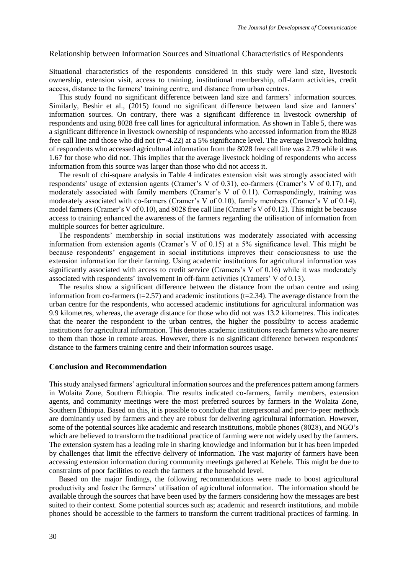### Relationship between Information Sources and Situational Characteristics of Respondents

Situational characteristics of the respondents considered in this study were land size, livestock ownership, extension visit, access to training, institutional membership, off-farm activities, credit access, distance to the farmers' training centre, and distance from urban centres.

This study found no significant difference between land size and farmers' information sources. Similarly, Beshir et al., (2015) found no significant difference between land size and farmers' information sources. On contrary, there was a significant difference in livestock ownership of respondents and using 8028 free call lines for agricultural information. As shown in Table 5, there was a significant difference in livestock ownership of respondents who accessed information from the 8028 free call line and those who did not  $(t=4.22)$  at a 5% significance level. The average livestock holding of respondents who accessed agricultural information from the 8028 free call line was 2.79 while it was 1.67 for those who did not. This implies that the average livestock holding of respondents who access information from this source was larger than those who did not access it.

The result of chi-square analysis in Table 4 indicates extension visit was strongly associated with respondents' usage of extension agents (Cramer's V of 0.31), co-farmers (Cramer's V of 0.17), and moderately associated with family members (Cramer's V of 0.11). Correspondingly, training was moderately associated with co-farmers (Cramer's V of 0.10), family members (Cramer's V of 0.14), model farmers (Cramer's V of 0.10), and 8028 free call line (Cramer's V of 0.12). This might be because access to training enhanced the awareness of the farmers regarding the utilisation of information from multiple sources for better agriculture.

The respondents' membership in social institutions was moderately associated with accessing information from extension agents (Cramer's V of 0.15) at a 5% significance level. This might be because respondents' engagement in social institutions improves their consciousness to use the extension information for their farming. Using academic institutions for agricultural information was significantly associated with access to credit service (Cramers's V of 0.16) while it was moderately associated with respondents' involvement in off-farm activities (Cramers' V of 0.13).

The results show a significant difference between the distance from the urban centre and using information from co-farmers ( $t=2.57$ ) and academic institutions ( $t=2.34$ ). The average distance from the urban centre for the respondents, who accessed academic institutions for agricultural information was 9.9 kilometres, whereas, the average distance for those who did not was 13.2 kilometres. This indicates that the nearer the respondent to the urban centres, the higher the possibility to access academic institutions for agricultural information. This denotes academic institutions reach farmers who are nearer to them than those in remote areas. However, there is no significant difference between respondents' distance to the farmers training centre and their information sources usage.

#### **Conclusion and Recommendation**

This study analysed farmers' agricultural information sources and the preferences pattern among farmers in Wolaita Zone, Southern Ethiopia. The results indicated co-farmers, family members, extension agents, and community meetings were the most preferred sources by farmers in the Wolaita Zone, Southern Ethiopia. Based on this, it is possible to conclude that interpersonal and peer-to-peer methods are dominantly used by farmers and they are robust for delivering agricultural information. However, some of the potential sources like academic and research institutions, mobile phones (8028), and NGO's which are believed to transform the traditional practice of farming were not widely used by the farmers. The extension system has a leading role in sharing knowledge and information but it has been impeded by challenges that limit the effective delivery of information. The vast majority of farmers have been accessing extension information during community meetings gathered at Kebele*.* This might be due to constraints of poor facilities to reach the farmers at the household level.

Based on the major findings, the following recommendations were made to boost agricultural productivity and foster the farmers' utilisation of agricultural information. The information should be available through the sources that have been used by the farmers considering how the messages are best suited to their context. Some potential sources such as; academic and research institutions, and mobile phones should be accessible to the farmers to transform the current traditional practices of farming. In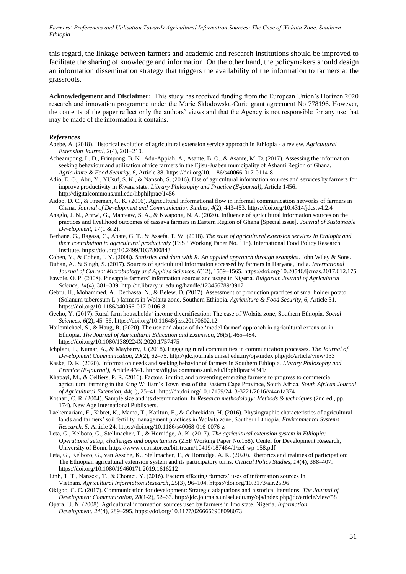*Farmers' Preferences and Utilisation Towards Agricultural Information Sources: The Case of Wolaita Zone, Southern Ethiopia*

this regard, the linkage between farmers and academic and research institutions should be improved to facilitate the sharing of knowledge and information. On the other hand, the policymakers should design an information dissemination strategy that triggers the availability of the information to farmers at the grassroots.

**Acknowledgement and Disclaimer:** This study has received funding from the European Union's Horizon 2020 research and innovation programme under the Marie Skłodowska-Curie grant agreement No 778196. However, the contents of the paper reflect only the authors' views and that the Agency is not responsible for any use that may be made of the information it contains.

#### *References*

- Abebe, A. (2018). Historical evolution of agricultural extension service approach in Ethiopia a review. *Agricultural Extension Journal, 2*(4), 201–210.
- Acheampong, L. D., Frimpong, B. N., Adu-Appiah, A., Asante, B. O., & Asante, M. D. (2017). Assessing the information seeking behaviour and utilization of rice farmers in the Ejisu-Juaben municipality of Ashanti Region of Ghana. *Agriculture & Food Security, 6,* Article 38. https://doi.org/10.1186/s40066-017-0114-8
- Adio, E. O., Abu, Y., YUsuf, S. K., & Nansoh, S. (2016). Use of agricultural information sources and services by farmers for improve productivity in Kwara state. *Library Philosophy and Practice (E-journal),* Article 1456. http://digitalcommons.unl.edu/libphilprac/1456
- Aidoo, D. C., & Freeman, C. K. (2016). Agricultural informational flow in informal communication networks of farmers in Ghana. *Journal of Development and Communication Studies*, *4*(2), 443-453. https://doi.org/10.4314/jdcs.v4i2.4
- Anaglo, J. N., Antwi, G., Manteaw, S. A., & Kwapong, N. A. (2020). Influence of agricultural information sources on the practices and livelihood outcomes of cassava farmers in Eastern Region of Ghana [Special issue]. *Journal of Sustainable Development*, *17*(1 & 2).
- Berhane, G., Ragasa, C., Abate, G. T., & Assefa, T. W. (2018). *The state of agricultural extension services in Ethiopia and their contribution to agricultural productivity* (ESSP Working Paper No. 118). International Food Policy Research Institute. https://doi.org/10.2499/1037800843
- Cohen, Y., & Cohen, J. Y. (2008). *Statistics and data with R: An applied approach through examples*. John Wiley & Sons.
- Duhan, A., & Singh, S. (2017). Sources of agricultural information accessed by farmers in Haryana, India. *International Journal of Current Microbiology and Applied Sciences*, *6*(12), 1559–1565. https://doi.org/10.20546/ijcmas.2017.612.175 Fawole, O. P. (2008). Pineapple farmers' information sources and usage in Nigeria. *Bulgarian Journal of Agricultural*
- *Science, 14*(4)*,* 381–389. http://ir.library.ui.edu.ng/handle/123456789/3917
- Gebru, H., Mohammed, A., Dechassa, N., & Belew, D. (2017). Assessment of production practices of smallholder potato (Solanum tuberosum L.) farmers in Wolaita zone, Southern Ethiopia. *Agriculture & Food Security*, *6*, Article 31. https://doi.org/10.1186/s40066-017-0106-8
- Gecho, Y. (2017). Rural farm households' income diversification: The case of Wolaita zone, Southern Ethiopia. *Social Sciences*, *6*(2), 45–56. https://doi.org/10.11648/j.ss.20170602.12
- Hailemichael, S., & Haug, R. (2020). The use and abuse of the 'model farmer' approach in agricultural extension in Ethiopia. *The Journal of Agricultural Education and Extension, 26*(5)*,* 465–484*.*  <https://doi.org/10.1080/1389224X.2020.1757475>
- Ichplani, P., Kumar, A., & Mayberry, J. (2018). Engaging rural communities in communication processes. *The Journal of Development Communication*, *29*(2), 62–75. http://jdc.journals.unisel.edu.my/ojs/index.php/jdc/article/view/133
- Kaske, D. K. (2020). Information needs and seeking behavior of farmers in Southern Ethiopia. *Library Philosophy and Practice (E-journal)*, Article 4341. https://digitalcommons.unl.edu/libphilprac/4341/
- Khapayi, M., & Celliers, P. R. (2016). Factors limiting and preventing emerging farmers to progress to commercial agricultural farming in the King William's Town area of the Eastern Cape Province, South Africa. *South African Journal of Agricultural Extension, 44*(1), 25**–**41. http://dx.doi.org/10.17159/2413-3221/2016/v44n1a374
- Kothari, C. R. (2004). Sample size and its determination. In *Research methodology: Methods & techniques* (2nd ed., pp. 174). New Age International Publishers.
- Laekemariam, F., Kibret, K., Mamo, T., Karltun, E., & Gebrekidan, H. (2016). Physiographic characteristics of agricultural lands and farmers' soil fertility management practices in Wolaita zone, Southern Ethiopia. *Environmental Systems Research*, *5*, Article 24. https://doi.org/10.1186/s40068-016-0076-z
- Leta, G., Kelboro, G., Stellmacher, T., & Hornidge, A. K. (2017). *The agricultural extension system in Ethiopia: Operational setup, challenges and opportunities* (ZEF Working Paper No.158). Center for Development Research, University of Bonn. https://www.econstor.eu/bitstream/10419/187464/1/zef-wp-158.pdf
- Leta, G., Kelboro, G., van Assche, K., Stellmacher, T., & Hornidge, A. K. (2020). Rhetorics and realities of participation: The Ethiopian agricultural extension system and its participatory turns. *Critical Policy Studies*, *14*(4), 388–407. <https://doi.org/10.1080/19460171.2019.1616212>
- Linh, T. T., Nanseki, T., & Chomei, Y. (2016). Factors affecting farmers' uses of information sources in Vietnam. *Agricultural Information Research*, *25*(3), 96–104. https://doi.org/10.3173/air.25.96
- Okigbo, C. C. (2017). Communication for development: Strategic adaptations and historical iterations. *The Journal of Development Communication*, *28*(1-2), 52–63. http://jdc.journals.unisel.edu.my/ojs/index.php/jdc/article/view/58
- Opara, U. N. (2008). Agricultural information sources used by farmers in Imo state, Nigeria. *Information Development*, *24*(4), 289–295. https://doi.org/10.1177/0266666908098073